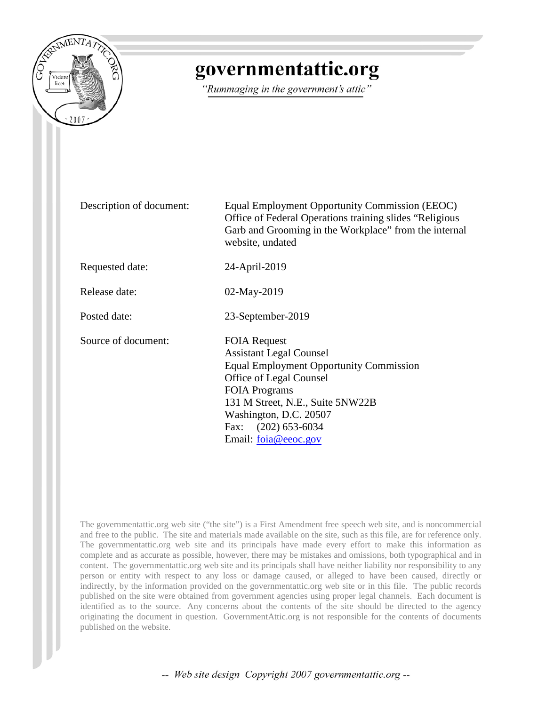

#### governmentattic.org

"Rummaging in the government's attic"

Description of document: Equal Employment Opportunity Commission (EEOC) Office of Federal Operations training slides "Religious Garb and Grooming in the Workplace" from the internal website, undated

Requested date: 24-April-2019

Release date: 02-May-2019

Posted date: 23-September-2019

Source of document: FOIA Request

Assistant Legal Counsel Equal Employment Opportunity Commission Office of Legal Counsel FOIA Programs 131 M Street, N.E., Suite 5NW22B Washington, D.C. 20507 Fax: (202) 653-6034 Email: [foia@eeoc.gov](mailto:foia@eeoc.gov?subject=FOIA%20Request)

The governmentattic.org web site ("the site") is a First Amendment free speech web site, and is noncommercial and free to the public. The site and materials made available on the site, such as this file, are for reference only. The governmentattic.org web site and its principals have made every effort to make this information as complete and as accurate as possible, however, there may be mistakes and omissions, both typographical and in content. The governmentattic.org web site and its principals shall have neither liability nor responsibility to any person or entity with respect to any loss or damage caused, or alleged to have been caused, directly or indirectly, by the information provided on the governmentattic.org web site or in this file. The public records published on the site were obtained from government agencies using proper legal channels. Each document is identified as to the source. Any concerns about the contents of the site should be directed to the agency originating the document in question. GovernmentAttic.org is not responsible for the contents of documents published on the website.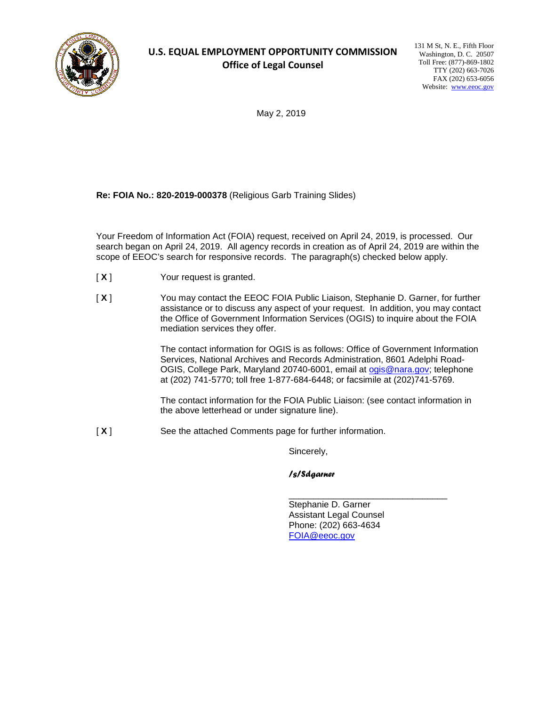

#### **U.S. EQUAL EMPLOYMENT OPPORTUNITY COMMISSION Office of Legal Counsel**

131 M St, N. E., Fifth Floor Washington, D. C. 20507 Toll Free: (877)-869-1802 TTY (202) 663-7026 FAX (202) 653-6056 Website: [www.eeoc.gov](http://www.eeoc.gov/)

May 2, 2019

**Re: FOIA No.: 820-2019-000378** (Religious Garb Training Slides)

Your Freedom of Information Act (FOIA) request, received on April 24, 2019, is processed. Our search began on April 24, 2019. All agency records in creation as of April 24, 2019 are within the scope of EEOC's search for responsive records. The paragraph(s) checked below apply.

- [ **X** ] Your request is granted.
- [ **X** ] You may contact the EEOC FOIA Public Liaison, Stephanie D. Garner, for further assistance or to discuss any aspect of your request. In addition, you may contact the Office of Government Information Services (OGIS) to inquire about the FOIA mediation services they offer.

The contact information for OGIS is as follows: Office of Government Information Services, National Archives and Records Administration, 8601 Adelphi RoadOGIS, College Park, Maryland 20740-6001, email at [ogis@nara.gov;](mailto:ogis@nara.gov) telephone at (202) 741-5770; toll free 1-877-684-6448; or facsimile at (202)741-5769.

The contact information for the FOIA Public Liaison: (see contact information in the above letterhead or under signature line).

[ **X** ] See the attached Comments page for further information.

Sincerely,

*/s/Sdgarner*

\_\_\_\_\_\_\_\_\_\_\_\_\_\_\_\_\_\_\_\_\_\_\_\_\_\_\_\_\_\_\_\_ Stephanie D. Garner Assistant Legal Counsel Phone: (202) 663-4634 [FOIA@eeoc.gov](mailto:FOIA@eeoc.gov)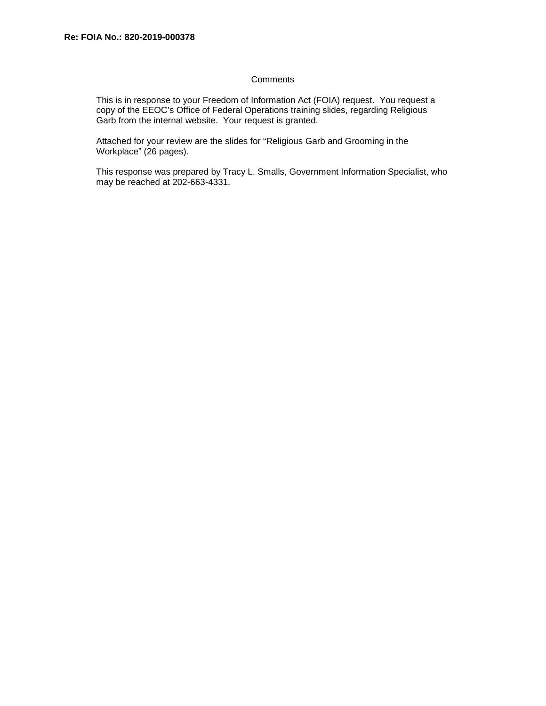#### **Comments**

This is in response to your Freedom of Information Act (FOIA) request. You request a copy of the EEOC's Office of Federal Operations training slides, regarding Religious Garb from the internal website. Your request is granted.

Attached for your review are the slides for "Religious Garb and Grooming in the Workplace" (26 pages).

This response was prepared by Tracy L. Smalls, Government Information Specialist, who may be reached at 202-663-4331.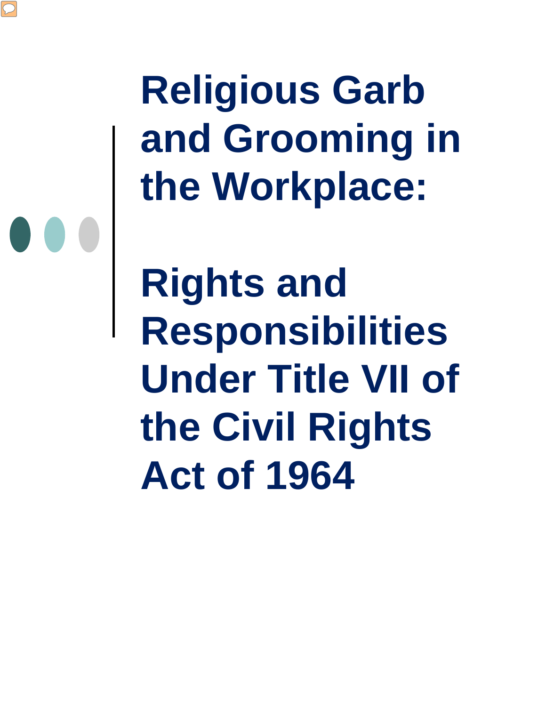**Religious Garb and Grooming in the Workplace:**

**Rights and Responsibilities Under Title VII of the Civil Rights Act of 1964**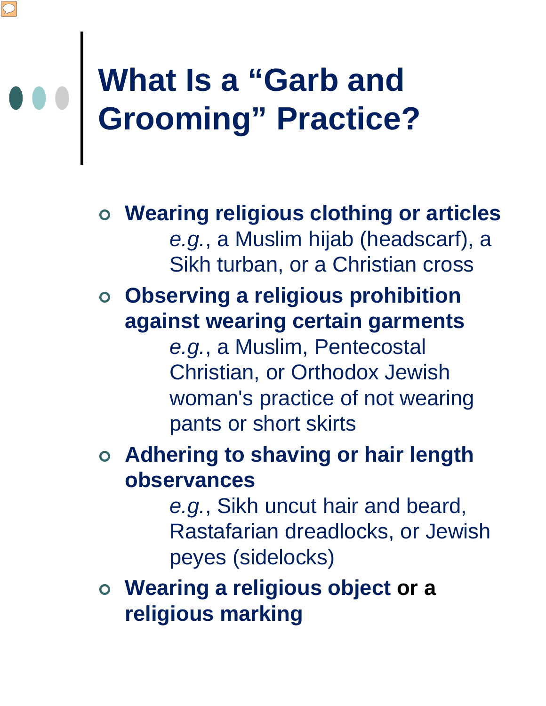### **What Is a "Garb and Grooming" Practice?**

 **Wearing religious clothing or articles**  *e.g.*, a Muslim hijab (headscarf), a Sikh turban, or a Christian cross

#### **Observing a religious prohibition against wearing certain garments**

*e.g.*, a Muslim, Pentecostal Christian, or Orthodox Jewish woman's practice of not wearing pants or short skirts

#### **Adhering to shaving or hair length observances**

*e.g.*, Sikh uncut hair and beard, Rastafarian dreadlocks, or Jewish peyes (sidelocks)

 **Wearing a religious object or a religious marking**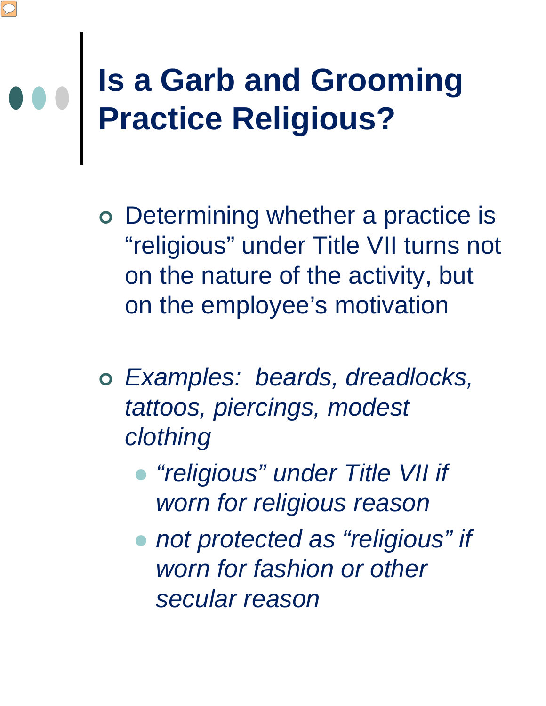## **Is a Garb and Grooming Practice Religious?**

- Determining whether a practice is "religious" under Title VII turns not on the nature of the activity, but on the employee's motivation
- *Examples: beards, dreadlocks, tattoos, piercings, modest clothing*
	- *"religious" under Title VII if worn for religious reason*
	- *not protected as "religious" if worn for fashion or other secular reason*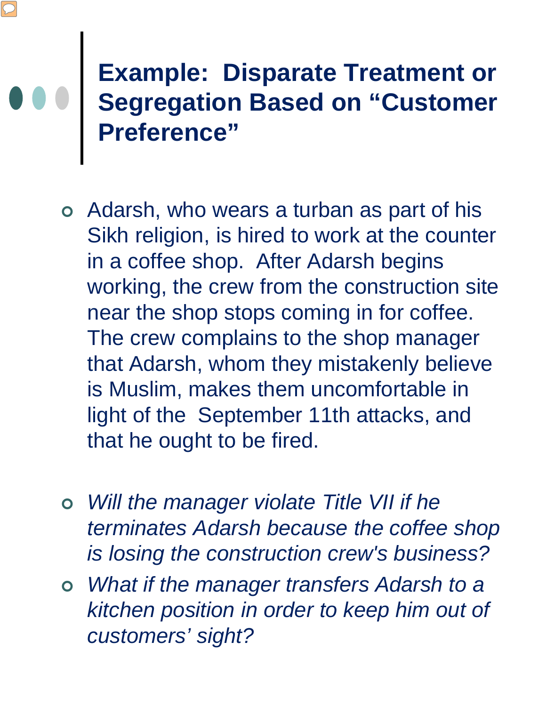#### **Example: Disparate Treatment or Segregation Based on "Customer Preference"**

- Adarsh, who wears a turban as part of his Sikh religion, is hired to work at the counter in a coffee shop. After Adarsh begins working, the crew from the construction site near the shop stops coming in for coffee. The crew complains to the shop manager that Adarsh, whom they mistakenly believe is Muslim, makes them uncomfortable in light of the September 11th attacks, and that he ought to be fired.
- *Will the manager violate Title VII if he terminates Adarsh because the coffee shop is losing the construction crew's business?*
- *What if the manager transfers Adarsh to a kitchen position in order to keep him out of customers' sight?*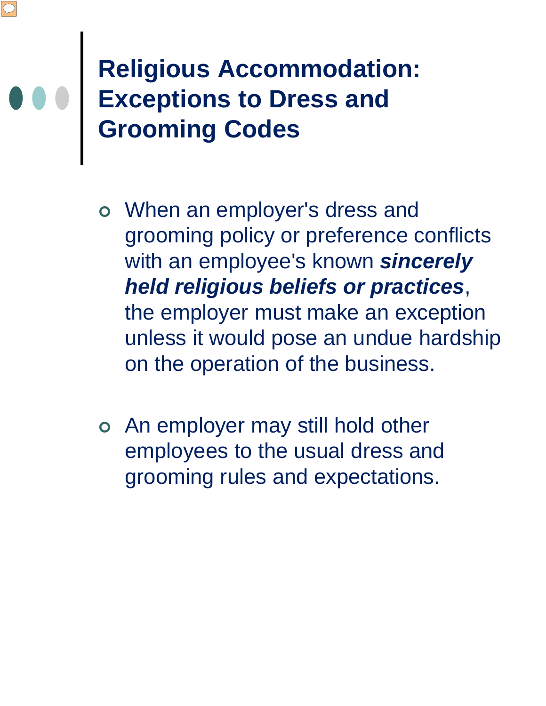#### **Religious Accommodation: Exceptions to Dress and Grooming Codes**

- When an employer's dress and grooming policy or preference conflicts with an employee's known *sincerely held religious beliefs or practices*, the employer must make an exception unless it would pose an undue hardship on the operation of the business.
- An employer may still hold other employees to the usual dress and grooming rules and expectations.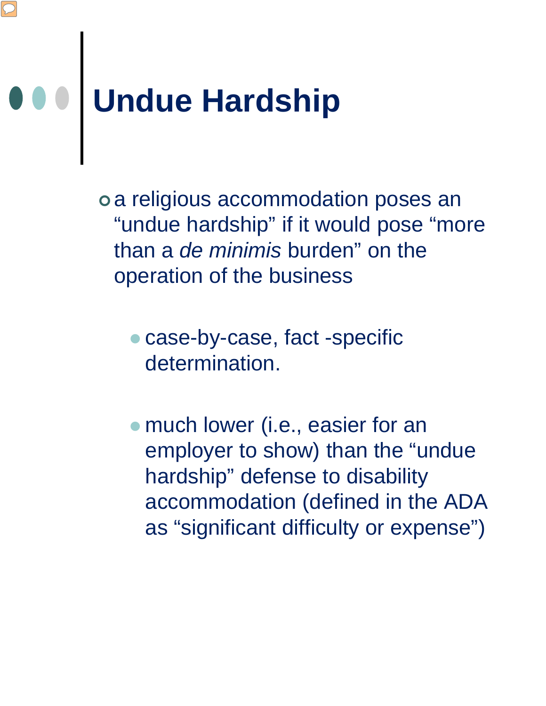## **Undue Hardship**

 a religious accommodation poses an "undue hardship" if it would pose "more than a *de minimis* burden" on the operation of the business

- case-by-case, fact -specific determination.
- much lower (i.e., easier for an employer to show) than the "undue hardship" defense to disability accommodation (defined in the ADA as "significant difficulty or expense")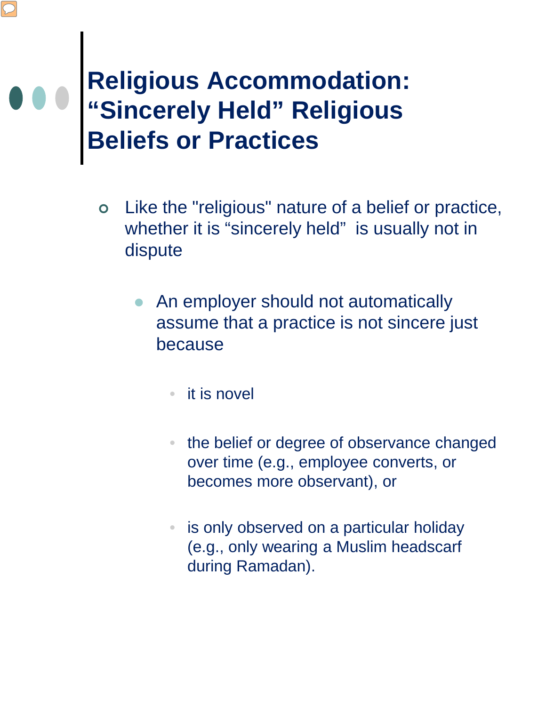#### **Religious Accommodation: "Sincerely Held" Religious Beliefs or Practices**

- Like the "religious" nature of a belief or practice, whether it is "sincerely held" is usually not in dispute
	- An employer should not automatically assume that a practice is not sincere just because
		- it is novel
		- the belief or degree of observance changed over time (e.g., employee converts, or becomes more observant), or
		- is only observed on a particular holiday (e.g., only wearing a Muslim headscarf during Ramadan).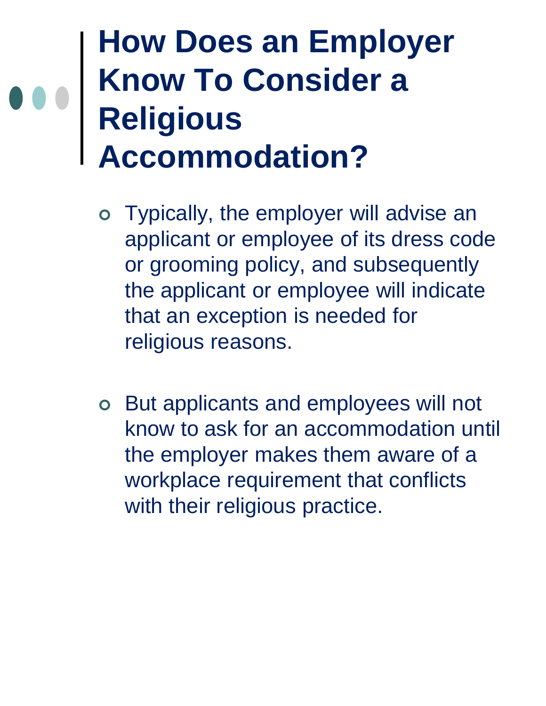#### **How Does an Employer Know To Consider a Religious Accommodation?**

- Typically, the employer will advise an applicant or employee of its dress code or grooming policy, and subsequently the applicant or employee will indicate that an exception is needed for religious reasons.
- But applicants and employees will not know to ask for an accommodation until the employer makes them aware of a workplace requirement that conflicts with their religious practice.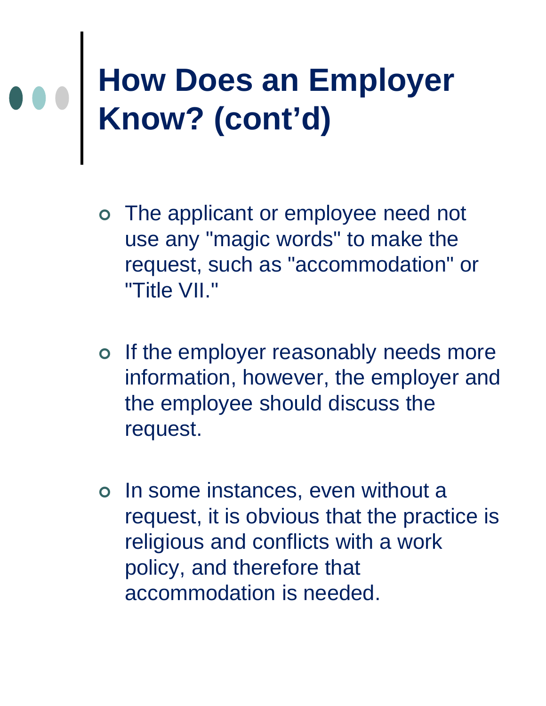## **How Does an Employer Know? (cont'd)**

- The applicant or employee need not use any "magic words" to make the request, such as "accommodation" or "Title VII."
- o If the employer reasonably needs more information, however, the employer and the employee should discuss the request.
- o In some instances, even without a request, it is obvious that the practice is religious and conflicts with a work policy, and therefore that accommodation is needed.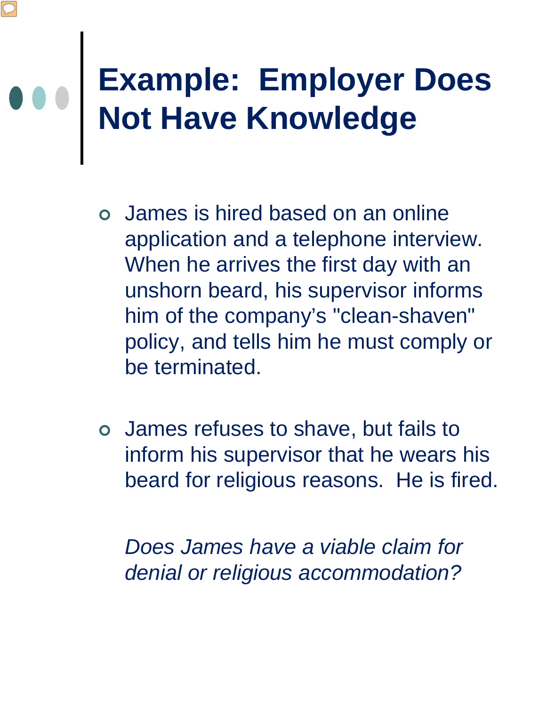## **Example: Employer Does Not Have Knowledge**

- James is hired based on an online application and a telephone interview. When he arrives the first day with an unshorn beard, his supervisor informs him of the company's "clean-shaven" policy, and tells him he must comply or be terminated.
- James refuses to shave, but fails to inform his supervisor that he wears his beard for religious reasons. He is fired.

*Does James have a viable claim for denial or religious accommodation?*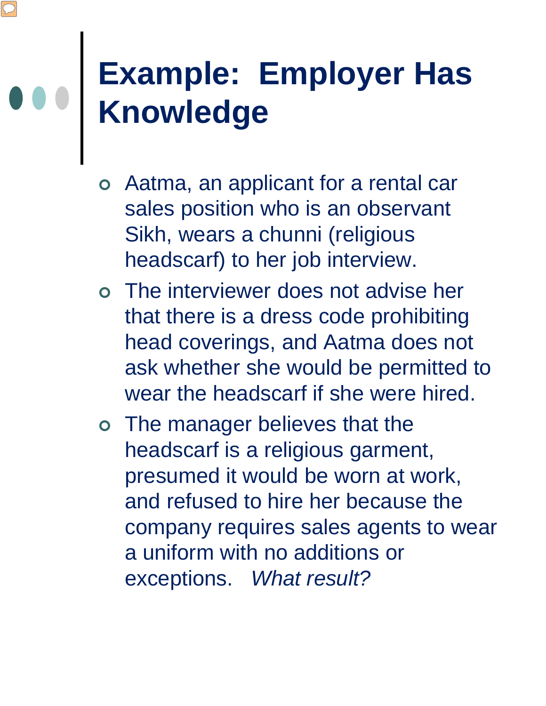#### **Example: Employer Has Knowledge**

- Aatma, an applicant for a rental car sales position who is an observant Sikh, wears a chunni (religious headscarf) to her job interview.
- The interviewer does not advise her that there is a dress code prohibiting head coverings, and Aatma does not ask whether she would be permitted to wear the headscarf if she were hired.
- The manager believes that the headscarf is a religious garment, presumed it would be worn at work, and refused to hire her because the company requires sales agents to wear a uniform with no additions or exceptions. *What result?*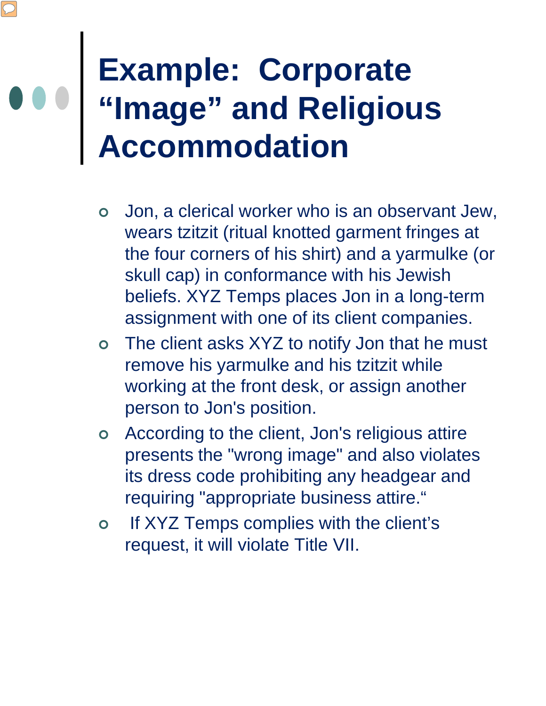### **Example: Corporate "Image" and Religious Accommodation**

- Jon, a clerical worker who is an observant Jew, wears tzitzit (ritual knotted garment fringes at the four corners of his shirt) and a yarmulke (or skull cap) in conformance with his Jewish beliefs. XYZ Temps places Jon in a long-term assignment with one of its client companies.
- The client asks XYZ to notify Jon that he must remove his yarmulke and his tzitzit while working at the front desk, or assign another person to Jon's position.
- According to the client, Jon's religious attire presents the "wrong image" and also violates its dress code prohibiting any headgear and requiring "appropriate business attire."
- o If XYZ Temps complies with the client's request, it will violate Title VII.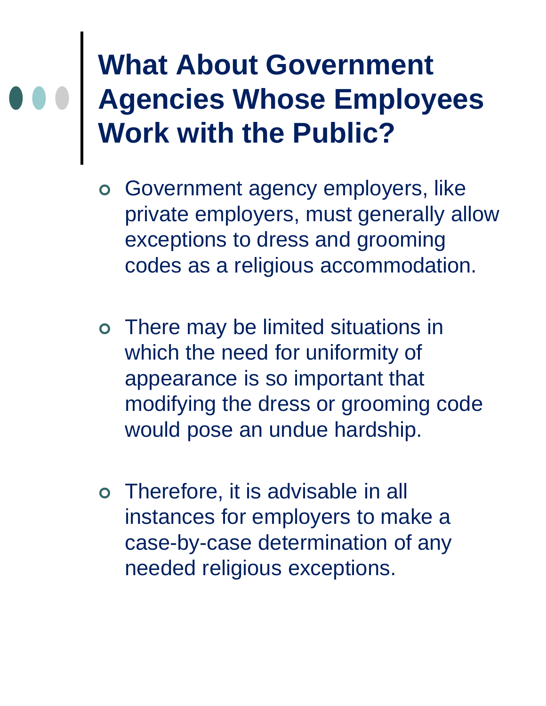#### **What About Government Agencies Whose Employees Work with the Public?**

- Government agency employers, like private employers, must generally allow exceptions to dress and grooming codes as a religious accommodation.
- There may be limited situations in which the need for uniformity of appearance is so important that modifying the dress or grooming code would pose an undue hardship.
- Therefore, it is advisable in all instances for employers to make a case-by-case determination of any needed religious exceptions.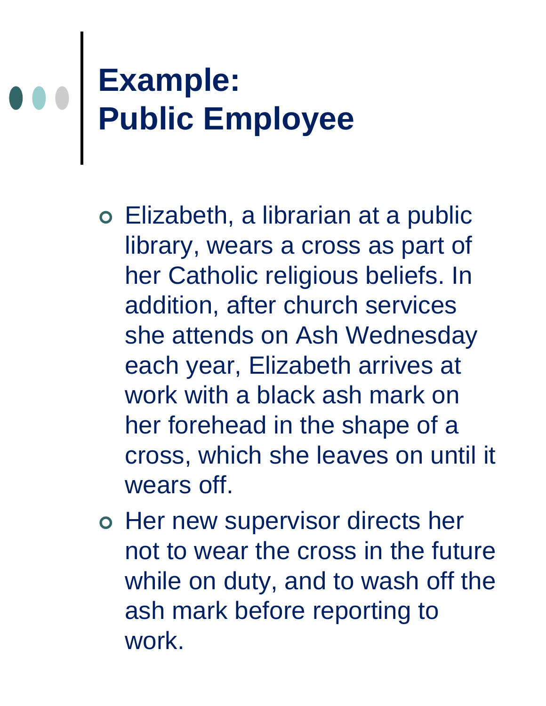## **Example: Public Employee**

- Elizabeth, a librarian at a public library, wears a cross as part of her Catholic religious beliefs. In addition, after church services she attends on Ash Wednesday each year, Elizabeth arrives at work with a black ash mark on her forehead in the shape of a cross, which she leaves on until it wears off.
- o Her new supervisor directs her not to wear the cross in the future while on duty, and to wash off the ash mark before reporting to work.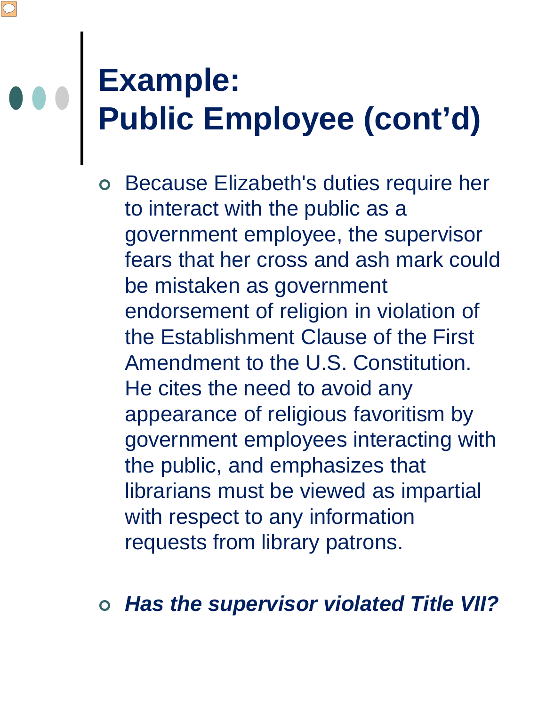### **Example: Public Employee (cont'd)**

- Because Elizabeth's duties require her to interact with the public as a government employee, the supervisor fears that her cross and ash mark could be mistaken as government endorsement of religion in violation of the Establishment Clause of the First Amendment to the U.S. Constitution. He cites the need to avoid any appearance of religious favoritism by government employees interacting with the public, and emphasizes that librarians must be viewed as impartial with respect to any information requests from library patrons.
- *Has the supervisor violated Title VII?*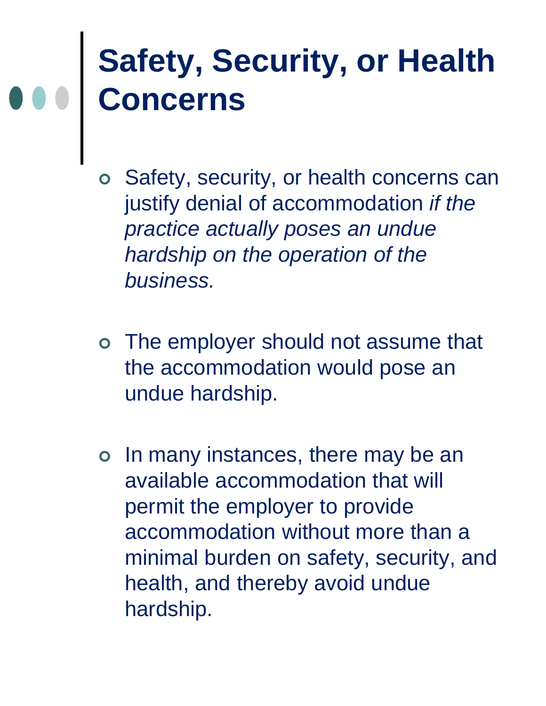### **Safety, Security, or Health Concerns**

- Safety, security, or health concerns can justify denial of accommodation *if the practice actually poses an undue hardship on the operation of the business.*
- The employer should not assume that the accommodation would pose an undue hardship.
- o In many instances, there may be an available accommodation that will permit the employer to provide accommodation without more than a minimal burden on safety, security, and health, and thereby avoid undue hardship.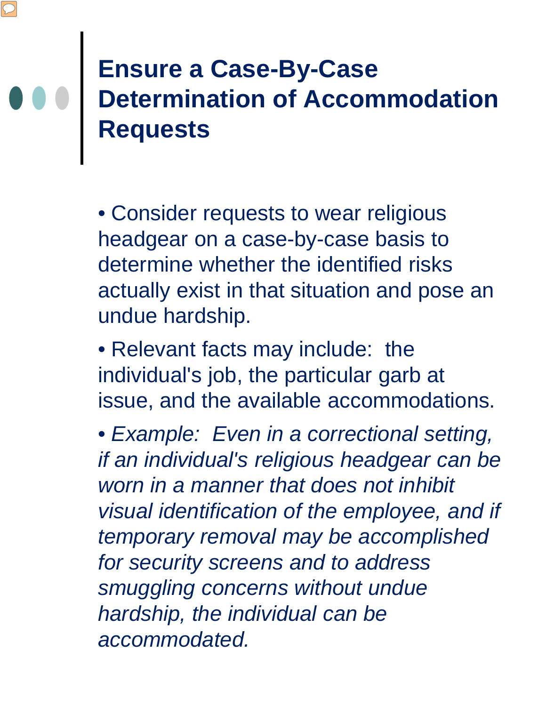#### **Ensure a Case-By-Case Determination of Accommodation Requests**

• Consider requests to wear religious headgear on a case-by-case basis to determine whether the identified risks actually exist in that situation and pose an undue hardship.

• Relevant facts may include: the individual's job, the particular garb at issue, and the available accommodations.

• *Example: Even in a correctional setting, if an individual's religious headgear can be worn in a manner that does not inhibit visual identification of the employee, and if temporary removal may be accomplished for security screens and to address smuggling concerns without undue hardship, the individual can be accommodated.*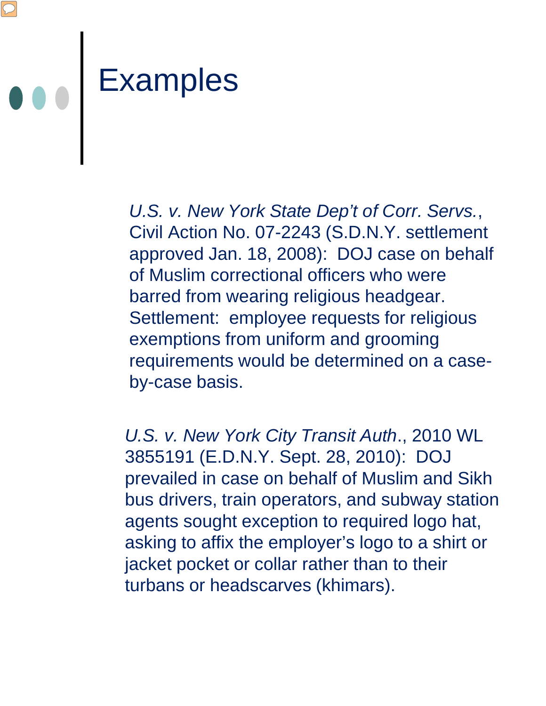

*U.S. v. New York State Dep't of Corr. Servs.*, Civil Action No. 07-2243 (S.D.N.Y. settlement approved Jan. 18, 2008): DOJ case on behalf of Muslim correctional officers who were barred from wearing religious headgear. Settlement: employee requests for religious exemptions from uniform and grooming requirements would be determined on a caseby-case basis.

*U.S. v. New York City Transit Auth*., 2010 WL 3855191 (E.D.N.Y. Sept. 28, 2010): DOJ prevailed in case on behalf of Muslim and Sikh bus drivers, train operators, and subway station agents sought exception to required logo hat, asking to affix the employer's logo to a shirt or jacket pocket or collar rather than to their turbans or headscarves (khimars).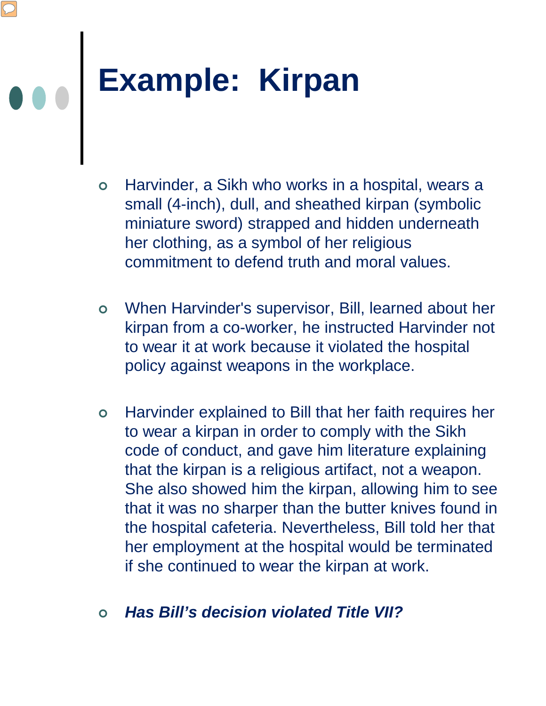# **Example: Kirpan**

- Harvinder, a Sikh who works in a hospital, wears a small (4-inch), dull, and sheathed kirpan (symbolic miniature sword) strapped and hidden underneath her clothing, as a symbol of her religious commitment to defend truth and moral values.
- When Harvinder's supervisor, Bill, learned about her kirpan from a co-worker, he instructed Harvinder not to wear it at work because it violated the hospital policy against weapons in the workplace.
- Harvinder explained to Bill that her faith requires her to wear a kirpan in order to comply with the Sikh code of conduct, and gave him literature explaining that the kirpan is a religious artifact, not a weapon. She also showed him the kirpan, allowing him to see that it was no sharper than the butter knives found in the hospital cafeteria. Nevertheless, Bill told her that her employment at the hospital would be terminated if she continued to wear the kirpan at work.

#### *Has Bill's decision violated Title VII?*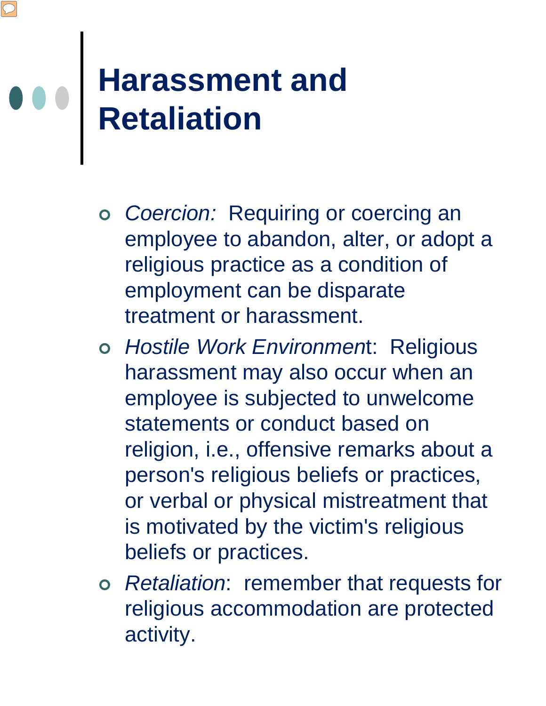#### **Harassment and Retaliation**

- *Coercion:* Requiring or coercing an employee to abandon, alter, or adopt a religious practice as a condition of employment can be disparate treatment or harassment.
- *Hostile Work Environmen*t: Religious harassment may also occur when an employee is subjected to unwelcome statements or conduct based on religion, i.e., offensive remarks about a person's religious beliefs or practices, or verbal or physical mistreatment that is motivated by the victim's religious beliefs or practices.
- *Retaliation*: remember that requests for religious accommodation are protected activity.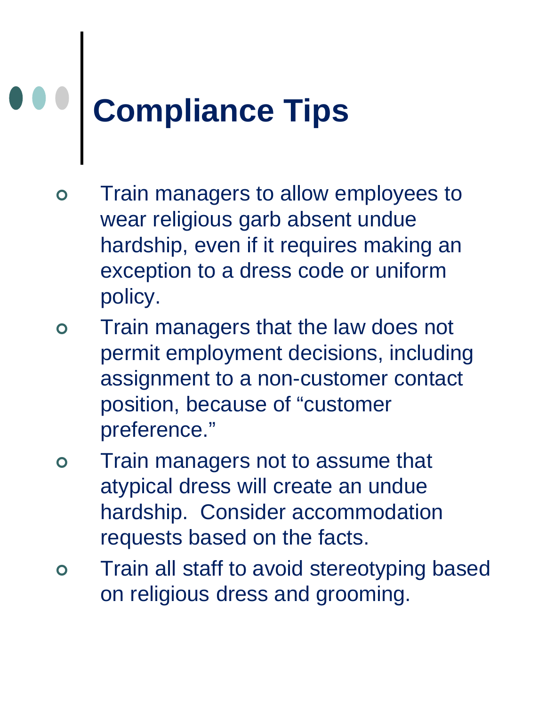## **Compliance Tips**

- Train managers to allow employees to wear religious garb absent undue hardship, even if it requires making an exception to a dress code or uniform policy.
- Train managers that the law does not permit employment decisions, including assignment to a non-customer contact position, because of "customer preference."
- Train managers not to assume that atypical dress will create an undue hardship. Consider accommodation requests based on the facts.
- Train all staff to avoid stereotyping based on religious dress and grooming.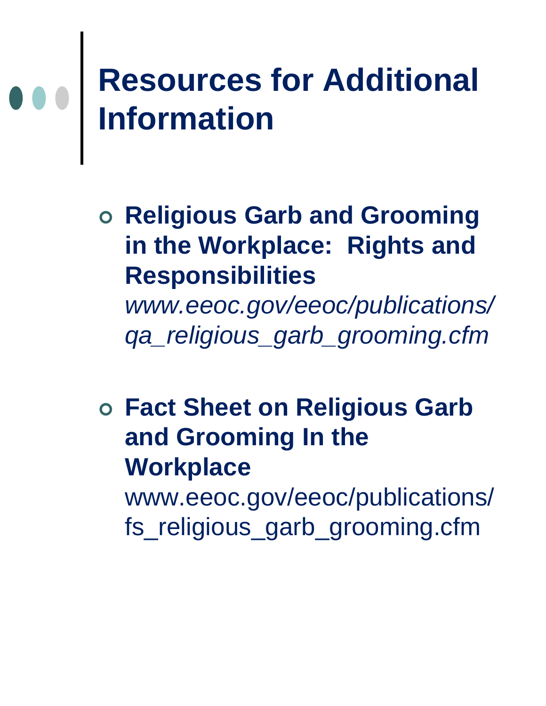### **Resources for Additional Information**

 **Religious Garb and Grooming in the Workplace: Rights and Responsibilities** 

*www.eeoc.gov/eeoc/publications/ qa\_religious\_garb\_grooming.cfm*

 **Fact Sheet on Religious Garb and Grooming In the Workplace**  www.eeoc.gov/eeoc/publications/ fs\_religious\_garb\_grooming.cfm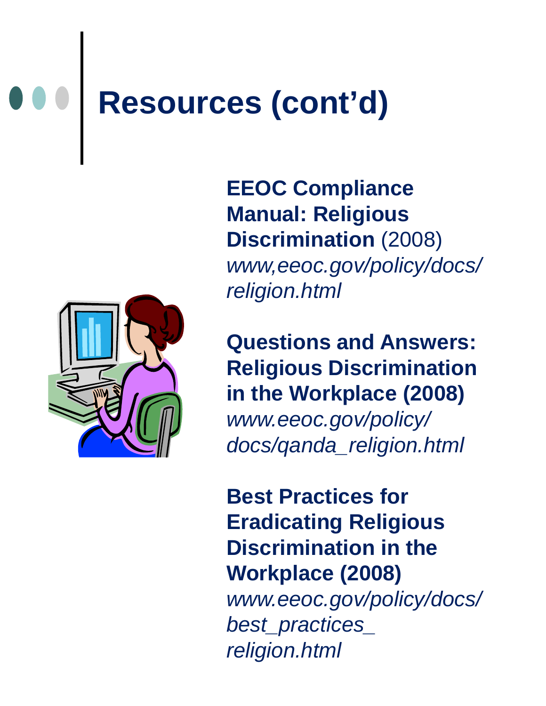## **Resources (cont'd)**



**EEOC Compliance Manual: Religious Discrimination** (2008) *www,eeoc.gov/policy/docs/ religion.html*

**Questions and Answers: Religious Discrimination in the Workplace (2008)** 

*www.eeoc.gov/policy/ docs/qanda\_religion.html*

**Best Practices for Eradicating Religious Discrimination in the Workplace (2008)** *www.eeoc.gov/policy/docs/ best\_practices\_ religion.html*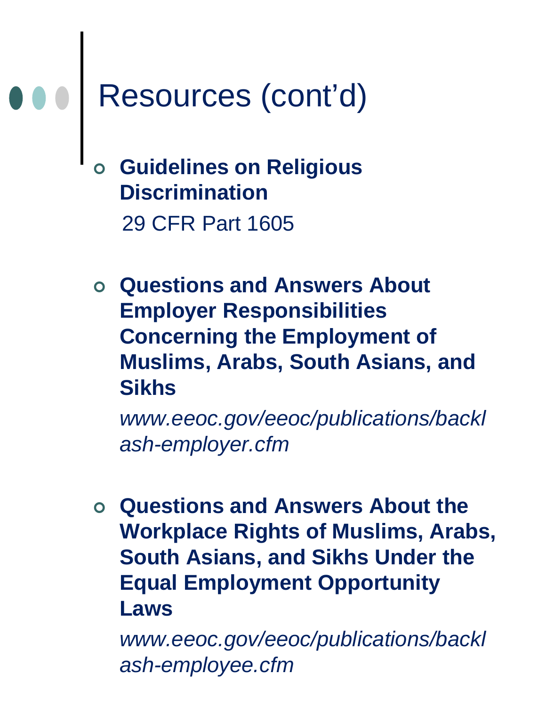## Resources (cont'd)

 **Guidelines on Religious Discrimination** 29 CFR Part 1605

 **Questions and Answers About Employer Responsibilities Concerning the Employment of Muslims, Arabs, South Asians, and Sikhs**

*www.eeoc.gov/eeoc/publications/backl ash-employer.cfm*

 **Questions and Answers About the Workplace Rights of Muslims, Arabs, South Asians, and Sikhs Under the Equal Employment Opportunity Laws** 

*www.eeoc.gov/eeoc/publications/backl ash-employee.cfm*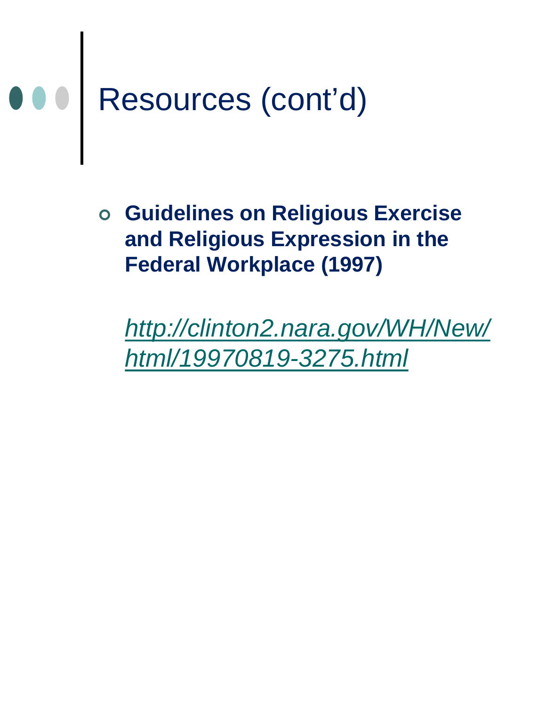## Resources (cont'd)

 **Guidelines on Religious Exercise and Religious Expression in the Federal Workplace (1997)** 

*[http://clinton2.nara.gov/WH/New/](http://clinton2.nara.gov/WH/New/html/19970819-3275.html) [html/19970819-3275.html](http://clinton2.nara.gov/WH/New/html/19970819-3275.html)*